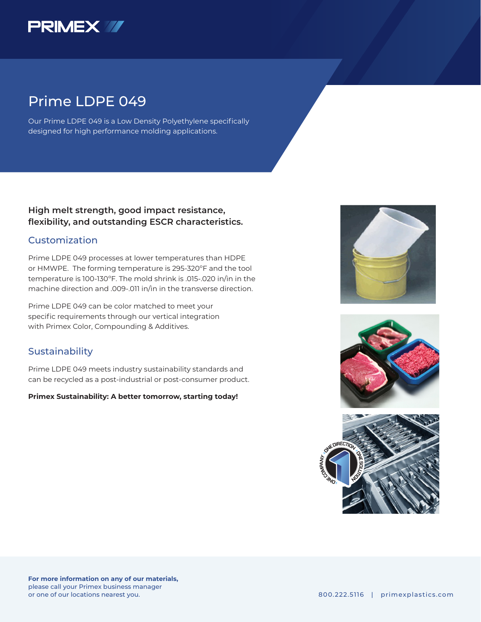

## Prime LDPE 049

Our Prime LDPE 049 is a Low Density Polyethylene specifically designed for high performance molding applications.

## **High melt strength, good impact resistance, flexibility, and outstanding ESCR characteristics.**

### Customization

Prime LDPE 049 processes at lower temperatures than HDPE or HMWPE. The forming temperature is 295-320ºF and the tool temperature is 100-130ºF. The mold shrink is .015-.020 in/in in the machine direction and .009-.011 in/in in the transverse direction.

Prime LDPE 049 can be color matched to meet your specific requirements through our vertical integration with Primex Color, Compounding & Additives.

## **Sustainability**

Prime LDPE 049 meets industry sustainability standards and can be recycled as a post-industrial or post-consumer product.

#### **Primex Sustainability: A better tomorrow, starting today!**